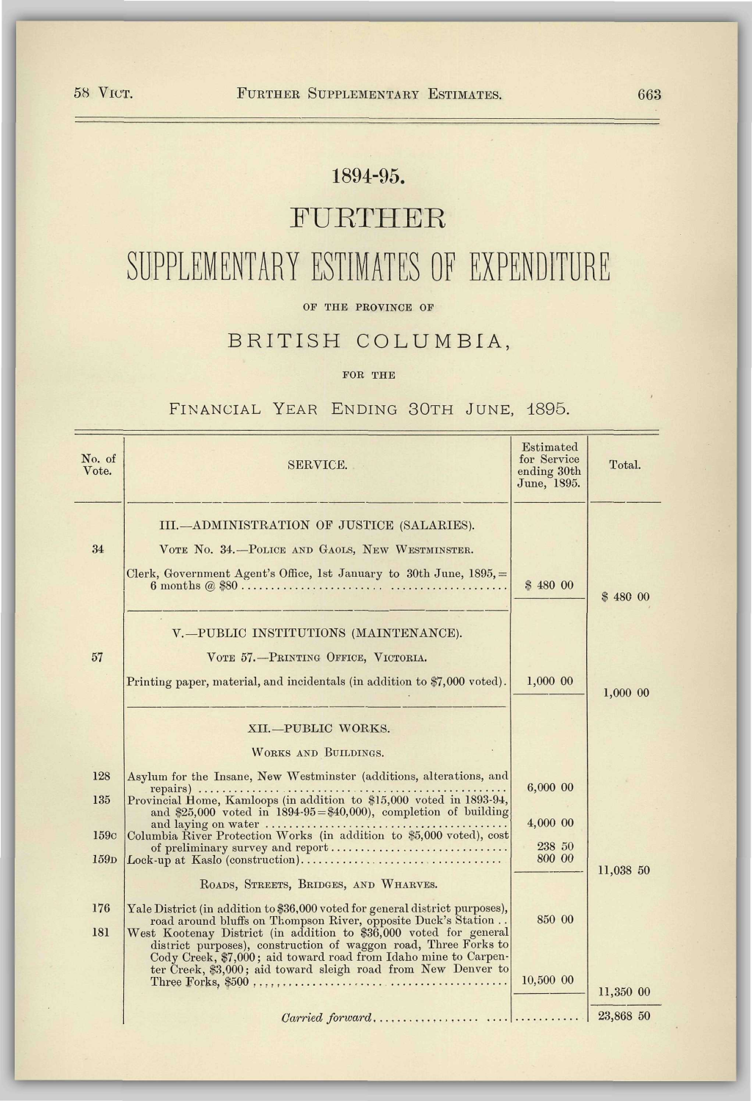# 1894-95.

# FURTHER

# SUPPLEMENTARY ESTIMATES OF EXPENDITURE

OF THE PROVINCE OF

## BRITISH COLUMBIA,

#### FOR THE

### FINANCIAL YEAR ENDING 30TH JUNE, 1895.

| No. of<br>Vote.          | <b>SERVICE.</b>                                                                                                                                                                                                                                                                                                                                          | Estimated<br>for Service<br>ending 30th<br>June, 1895. | Total.    |
|--------------------------|----------------------------------------------------------------------------------------------------------------------------------------------------------------------------------------------------------------------------------------------------------------------------------------------------------------------------------------------------------|--------------------------------------------------------|-----------|
| 34                       | III.-ADMINISTRATION OF JUSTICE (SALARIES).<br>VOTE NO. 34.-POLICE AND GAOLS, NEW WESTMINSTER.<br>Clerk, Government Agent's Office, 1st January to 30th June, $1895 =$                                                                                                                                                                                    | \$4800                                                 | \$480 00  |
| 57                       | V.-PUBLIC INSTITUTIONS (MAINTENANCE).<br>VOTE 57.-PRINTING OFFICE, VICTORIA.<br>Printing paper, material, and incidentals (in addition to \$7,000 voted).                                                                                                                                                                                                | $1,000$ 00                                             | 1,000 00  |
|                          | XII.-PUBLIC WORKS.<br>WORKS AND BUILDINGS.                                                                                                                                                                                                                                                                                                               |                                                        |           |
| 128<br>135               | Asylum for the Insane, New Westminster (additions, alterations, and<br>and \$25,000 voted in $1894-95 = $40,000$ , completion of building                                                                                                                                                                                                                | 6,000 00                                               |           |
| 159c<br>159 <sub>D</sub> | Columbia Řiver Protection Works (in addition to \$5,000 voted), cost<br>of preliminary survey and report                                                                                                                                                                                                                                                 | 4,000 00<br>238 50<br>800 00                           |           |
|                          | ROADS, STREETS, BRIDGES, AND WHARVES.                                                                                                                                                                                                                                                                                                                    |                                                        | 11,038 50 |
| 176<br>181               | Yale District (in addition to \$36,000 voted for general district purposes),<br>road around bluffs on Thompson River, opposite Duck's Station<br>West Kootenay District (in addition to \$36,000 voted for general<br>district purposes), construction of waggon road, Three Forks to<br>Cody Creek, \$7,000; aid toward road from Idaho mine to Carpen- | 850 00                                                 |           |
|                          | ter Creek, \$3,000; aid toward sleigh road from New Denver to                                                                                                                                                                                                                                                                                            | 10.500 00                                              | 11,350 00 |
|                          |                                                                                                                                                                                                                                                                                                                                                          |                                                        |           |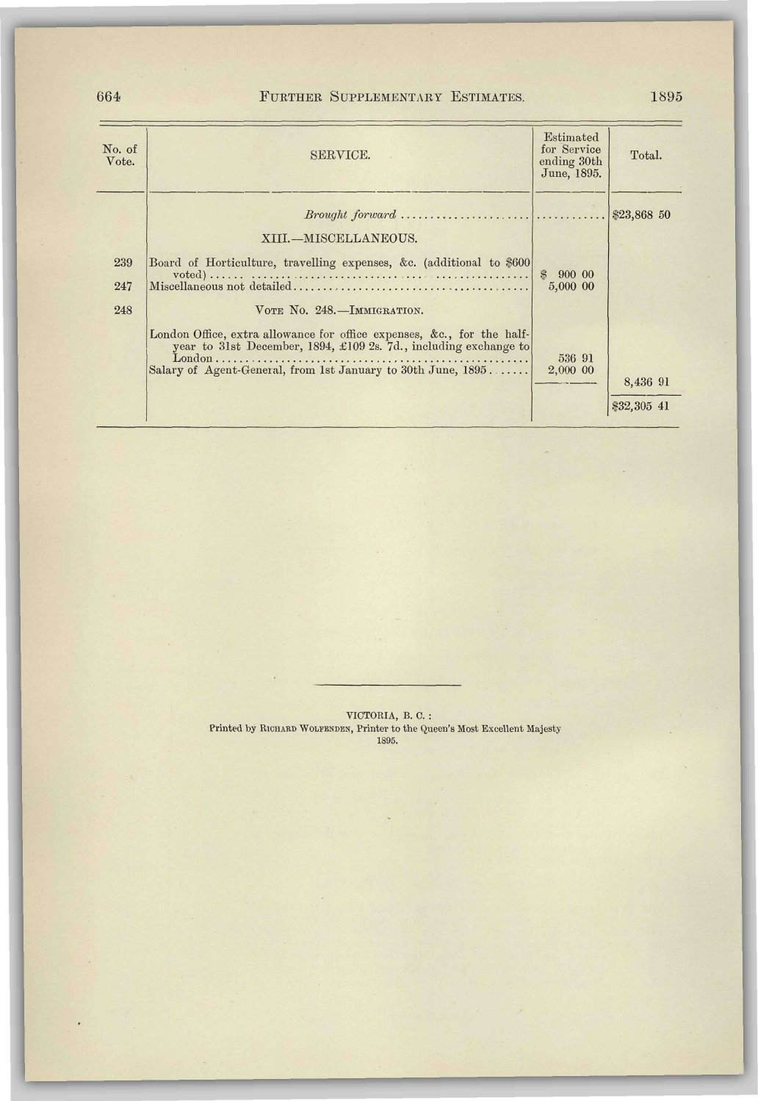## 664 FURTHER SUPPLEMENTARY ESTIMATES. 1895

| No. of<br>Vote.   | SERVICE.                                                                                                                                                                                                   | Estimated<br>for Service<br>ending 30th<br>June, 1895. | Total.                  |
|-------------------|------------------------------------------------------------------------------------------------------------------------------------------------------------------------------------------------------------|--------------------------------------------------------|-------------------------|
|                   | $Brought\ forward\ \dots \dots \dots \dots \dots \dots \dots \dots \dots \dots \dots \$<br>XIII.-MISCELLANEOUS.                                                                                            |                                                        |                         |
| 239<br>247<br>248 | Board of Horticulture, travelling expenses, &c. (additional to \$600)<br>VOTE NO. 248.-IMMIGRATION.                                                                                                        | $\mathcal{L}$<br>900 00<br>5,000 00                    |                         |
|                   | London Office, extra allowance for office expenses, &c., for the half-<br>year to 31st December, 1894, £109 2s. 7d., including exchange to<br>Salary of Agent-General, from 1st January to 30th June, 1895 | 536 91<br>2,000 00                                     | 8,436 91<br>\$32,305 41 |

VICTORIA, B. C. : Printed by RICHARD WOLFENDEN, Printer to the Queen's Most Excellent Majesty 1895.